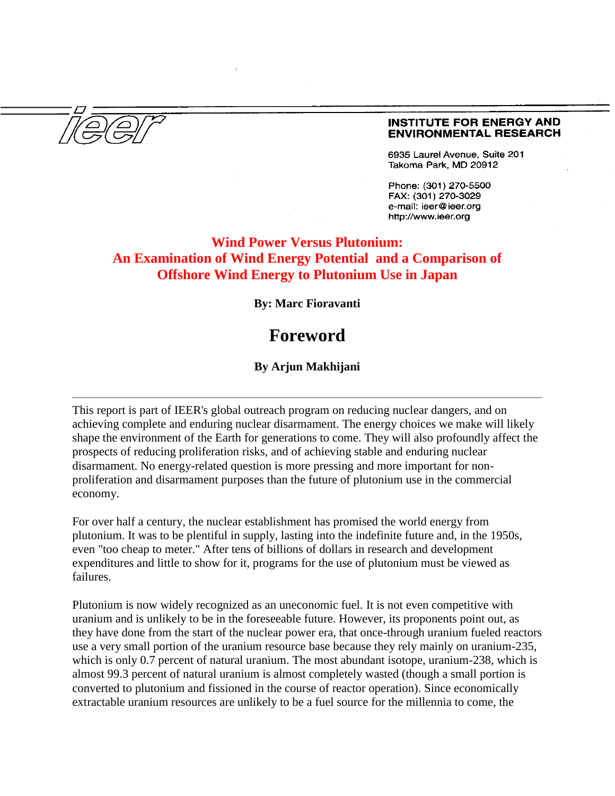#### **INSTITUTE FOR ENERGY AND ENVIRONMENTAL RESEARCH**

6935 Laurel Avenue, Suite 201 Takoma Park, MD 20912

Phone: (301) 270-5500 FAX: (301) 270-3029 e-mail: ieer@ieer.org http://www.ieer.org

## **Wind Power Versus Plutonium: An Examination of Wind Energy Potential and a Comparison of Offshore Wind Energy to Plutonium Use in Japan**

**By: Marc Fioravanti**

# **Foreword**

### **By Arjun Makhijani**

This report is part of IEER's global outreach program on reducing nuclear dangers, and on achieving complete and enduring nuclear disarmament. The energy choices we make will likely shape the environment of the Earth for generations to come. They will also profoundly affect the prospects of reducing proliferation risks, and of achieving stable and enduring nuclear disarmament. No energy-related question is more pressing and more important for nonproliferation and disarmament purposes than the future of plutonium use in the commercial economy.

For over half a century, the nuclear establishment has promised the world energy from plutonium. It was to be plentiful in supply, lasting into the indefinite future and, in the 1950s, even "too cheap to meter." After tens of billions of dollars in research and development expenditures and little to show for it, programs for the use of plutonium must be viewed as failures.

Plutonium is now widely recognized as an uneconomic fuel. It is not even competitive with uranium and is unlikely to be in the foreseeable future. However, its proponents point out, as they have done from the start of the nuclear power era, that once-through uranium fueled reactors use a very small portion of the uranium resource base because they rely mainly on uranium-235, which is only 0.7 percent of natural uranium. The most abundant isotope, uranium-238, which is almost 99.3 percent of natural uranium is almost completely wasted (though a small portion is converted to plutonium and fissioned in the course of reactor operation). Since economically extractable uranium resources are unlikely to be a fuel source for the millennia to come, the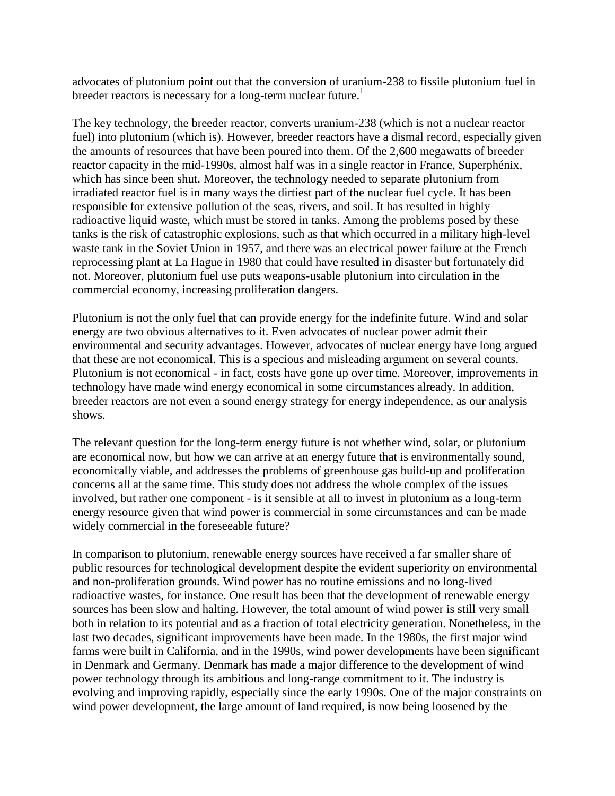advocates of plutonium point out that the conversion of uranium-238 to fissile plutonium fuel in breeder reactors is necessary for a long-term nuclear future.<sup>1</sup>

The key technology, the breeder reactor, converts uranium-238 (which is not a nuclear reactor fuel) into plutonium (which is). However, breeder reactors have a dismal record, especially given the amounts of resources that have been poured into them. Of the 2,600 megawatts of breeder reactor capacity in the mid-1990s, almost half was in a single reactor in France, Superphénix, which has since been shut. Moreover, the technology needed to separate plutonium from irradiated reactor fuel is in many ways the dirtiest part of the nuclear fuel cycle. It has been responsible for extensive pollution of the seas, rivers, and soil. It has resulted in highly radioactive liquid waste, which must be stored in tanks. Among the problems posed by these tanks is the risk of catastrophic explosions, such as that which occurred in a military high-level waste tank in the Soviet Union in 1957, and there was an electrical power failure at the French reprocessing plant at La Hague in 1980 that could have resulted in disaster but fortunately did not. Moreover, plutonium fuel use puts weapons-usable plutonium into circulation in the commercial economy, increasing proliferation dangers.

Plutonium is not the only fuel that can provide energy for the indefinite future. Wind and solar energy are two obvious alternatives to it. Even advocates of nuclear power admit their environmental and security advantages. However, advocates of nuclear energy have long argued that these are not economical. This is a specious and misleading argument on several counts. Plutonium is not economical - in fact, costs have gone up over time. Moreover, improvements in technology have made wind energy economical in some circumstances already. In addition, breeder reactors are not even a sound energy strategy for energy independence, as our analysis shows.

The relevant question for the long-term energy future is not whether wind, solar, or plutonium are economical now, but how we can arrive at an energy future that is environmentally sound, economically viable, and addresses the problems of greenhouse gas build-up and proliferation concerns all at the same time. This study does not address the whole complex of the issues involved, but rather one component - is it sensible at all to invest in plutonium as a long-term energy resource given that wind power is commercial in some circumstances and can be made widely commercial in the foreseeable future?

In comparison to plutonium, renewable energy sources have received a far smaller share of public resources for technological development despite the evident superiority on environmental and non-proliferation grounds. Wind power has no routine emissions and no long-lived radioactive wastes, for instance. One result has been that the development of renewable energy sources has been slow and halting. However, the total amount of wind power is still very small both in relation to its potential and as a fraction of total electricity generation. Nonetheless, in the last two decades, significant improvements have been made. In the 1980s, the first major wind farms were built in California, and in the 1990s, wind power developments have been significant in Denmark and Germany. Denmark has made a major difference to the development of wind power technology through its ambitious and long-range commitment to it. The industry is evolving and improving rapidly, especially since the early 1990s. One of the major constraints on wind power development, the large amount of land required, is now being loosened by the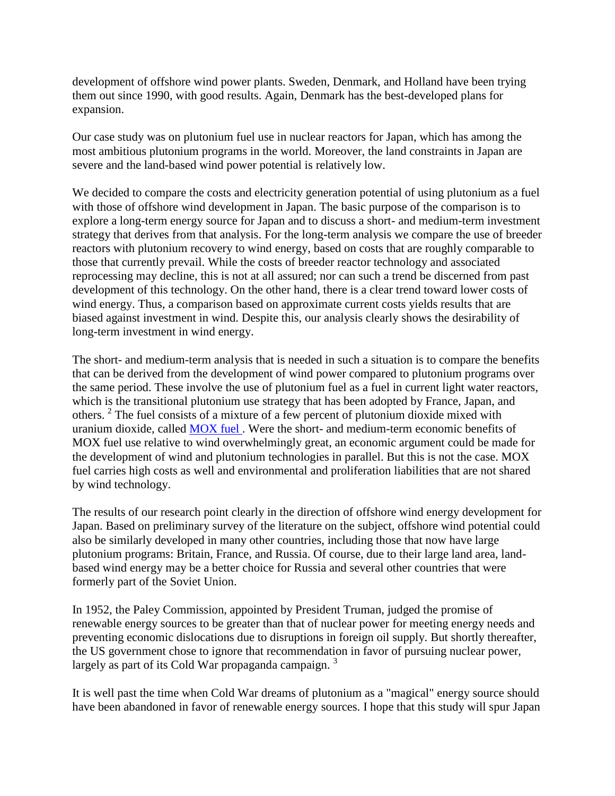development of offshore wind power plants. Sweden, Denmark, and Holland have been trying them out since 1990, with good results. Again, Denmark has the best-developed plans for expansion.

Our case study was on plutonium fuel use in nuclear reactors for Japan, which has among the most ambitious plutonium programs in the world. Moreover, the land constraints in Japan are severe and the land-based wind power potential is relatively low.

We decided to compare the costs and electricity generation potential of using plutonium as a fuel with those of offshore wind development in Japan. The basic purpose of the comparison is to explore a long-term energy source for Japan and to discuss a short- and medium-term investment strategy that derives from that analysis. For the long-term analysis we compare the use of breeder reactors with plutonium recovery to wind energy, based on costs that are roughly comparable to those that currently prevail. While the costs of breeder reactor technology and associated reprocessing may decline, this is not at all assured; nor can such a trend be discerned from past development of this technology. On the other hand, there is a clear trend toward lower costs of wind energy. Thus, a comparison based on approximate current costs yields results that are biased against investment in wind. Despite this, our analysis clearly shows the desirability of long-term investment in wind energy.

The short- and medium-term analysis that is needed in such a situation is to compare the benefits that can be derived from the development of wind power compared to plutonium programs over the same period. These involve the use of plutonium fuel as a fuel in current light water reactors, which is the transitional plutonium use strategy that has been adopted by France, Japan, and others. <sup>2</sup> The fuel consists of a mixture of a few percent of plutonium dioxide mixed with uranium dioxide, called [MOX](http://www.ieer.org/latest/pu-disp.html) fuel . Were the short- and medium-term economic benefits of MOX fuel use relative to wind overwhelmingly great, an economic argument could be made for the development of wind and plutonium technologies in parallel. But this is not the case. MOX fuel carries high costs as well and environmental and proliferation liabilities that are not shared by wind technology.

The results of our research point clearly in the direction of offshore wind energy development for Japan. Based on preliminary survey of the literature on the subject, offshore wind potential could also be similarly developed in many other countries, including those that now have large plutonium programs: Britain, France, and Russia. Of course, due to their large land area, landbased wind energy may be a better choice for Russia and several other countries that were formerly part of the Soviet Union.

In 1952, the Paley Commission, appointed by President Truman, judged the promise of renewable energy sources to be greater than that of nuclear power for meeting energy needs and preventing economic dislocations due to disruptions in foreign oil supply. But shortly thereafter, the US government chose to ignore that recommendation in favor of pursuing nuclear power, largely as part of its Cold War propaganda campaign.<sup>3</sup>

It is well past the time when Cold War dreams of plutonium as a "magical" energy source should have been abandoned in favor of renewable energy sources. I hope that this study will spur Japan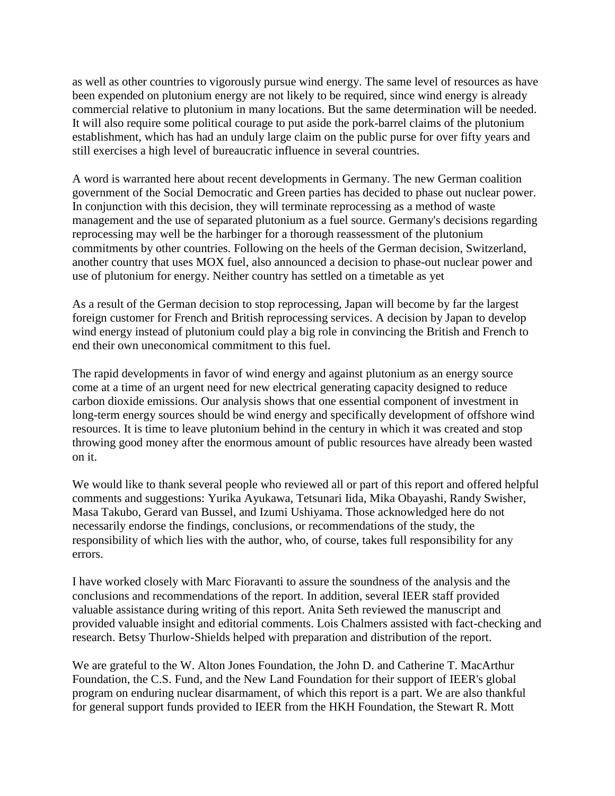as well as other countries to vigorously pursue wind energy. The same level of resources as have been expended on plutonium energy are not likely to be required, since wind energy is already commercial relative to plutonium in many locations. But the same determination will be needed. It will also require some political courage to put aside the pork-barrel claims of the plutonium establishment, which has had an unduly large claim on the public purse for over fifty years and still exercises a high level of bureaucratic influence in several countries.

A word is warranted here about recent developments in Germany. The new German coalition government of the Social Democratic and Green parties has decided to phase out nuclear power. In conjunction with this decision, they will terminate reprocessing as a method of waste management and the use of separated plutonium as a fuel source. Germany's decisions regarding reprocessing may well be the harbinger for a thorough reassessment of the plutonium commitments by other countries. Following on the heels of the German decision, Switzerland, another country that uses MOX fuel, also announced a decision to phase-out nuclear power and use of plutonium for energy. Neither country has settled on a timetable as yet

As a result of the German decision to stop reprocessing, Japan will become by far the largest foreign customer for French and British reprocessing services. A decision by Japan to develop wind energy instead of plutonium could play a big role in convincing the British and French to end their own uneconomical commitment to this fuel.

The rapid developments in favor of wind energy and against plutonium as an energy source come at a time of an urgent need for new electrical generating capacity designed to reduce carbon dioxide emissions. Our analysis shows that one essential component of investment in long-term energy sources should be wind energy and specifically development of offshore wind resources. It is time to leave plutonium behind in the century in which it was created and stop throwing good money after the enormous amount of public resources have already been wasted on it.

We would like to thank several people who reviewed all or part of this report and offered helpful comments and suggestions: Yurika Ayukawa, Tetsunari Iida, Mika Obayashi, Randy Swisher, Masa Takubo, Gerard van Bussel, and Izumi Ushiyama. Those acknowledged here do not necessarily endorse the findings, conclusions, or recommendations of the study, the responsibility of which lies with the author, who, of course, takes full responsibility for any errors.

I have worked closely with Marc Fioravanti to assure the soundness of the analysis and the conclusions and recommendations of the report. In addition, several IEER staff provided valuable assistance during writing of this report. Anita Seth reviewed the manuscript and provided valuable insight and editorial comments. Lois Chalmers assisted with fact-checking and research. Betsy Thurlow-Shields helped with preparation and distribution of the report.

We are grateful to the W. Alton Jones Foundation, the John D. and Catherine T. MacArthur Foundation, the C.S. Fund, and the New Land Foundation for their support of IEER's global program on enduring nuclear disarmament, of which this report is a part. We are also thankful for general support funds provided to IEER from the HKH Foundation, the Stewart R. Mott